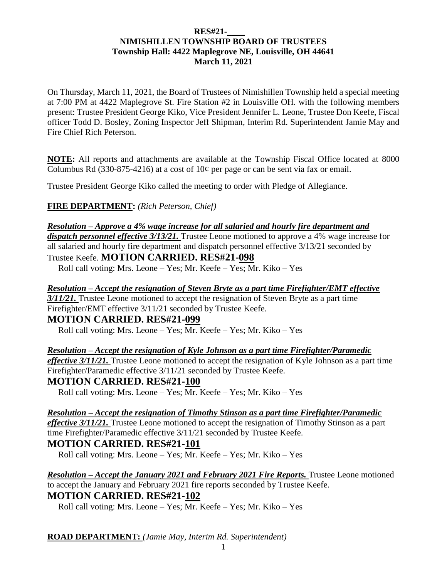### **RES#21-\_\_\_\_ NIMISHILLEN TOWNSHIP BOARD OF TRUSTEES Township Hall: 4422 Maplegrove NE, Louisville, OH 44641 March 11, 2021**

On Thursday, March 11, 2021, the Board of Trustees of Nimishillen Township held a special meeting at 7:00 PM at 4422 Maplegrove St. Fire Station #2 in Louisville OH. with the following members present: Trustee President George Kiko, Vice President Jennifer L. Leone, Trustee Don Keefe, Fiscal officer Todd D. Bosley, Zoning Inspector Jeff Shipman, Interim Rd. Superintendent Jamie May and Fire Chief Rich Peterson.

**NOTE:** All reports and attachments are available at the Township Fiscal Office located at 8000 Columbus Rd (330-875-4216) at a cost of  $10¢$  per page or can be sent via fax or email.

Trustee President George Kiko called the meeting to order with Pledge of Allegiance.

**FIRE DEPARTMENT:** *(Rich Peterson, Chief)*

*Resolution – Approve a 4% wage increase for all salaried and hourly fire department and dispatch personnel effective 3/13/21.* Trustee Leone motioned to approve a 4% wage increase for all salaried and hourly fire department and dispatch personnel effective 3/13/21 seconded by Trustee Keefe. **MOTION CARRIED. RES#21-098**

Roll call voting: Mrs. Leone – Yes; Mr. Keefe – Yes; Mr. Kiko – Yes

*Resolution – Accept the resignation of Steven Bryte as a part time Firefighter/EMT effective* 

*3/11/21.* Trustee Leone motioned to accept the resignation of Steven Bryte as a part time Firefighter/EMT effective 3/11/21 seconded by Trustee Keefe.

### **MOTION CARRIED. RES#21-099**

Roll call voting: Mrs. Leone – Yes; Mr. Keefe – Yes; Mr. Kiko – Yes

*Resolution – Accept the resignation of Kyle Johnson as a part time Firefighter/Paramedic effective 3/11/21.* Trustee Leone motioned to accept the resignation of Kyle Johnson as a part time Firefighter/Paramedic effective 3/11/21 seconded by Trustee Keefe.

# **MOTION CARRIED. RES#21-100**

Roll call voting: Mrs. Leone – Yes; Mr. Keefe – Yes; Mr. Kiko – Yes

*Resolution – Accept the resignation of Timothy Stinson as a part time Firefighter/Paramedic effective 3/11/21.* Trustee Leone motioned to accept the resignation of Timothy Stinson as a part time Firefighter/Paramedic effective 3/11/21 seconded by Trustee Keefe.

### **MOTION CARRIED. RES#21-101**

Roll call voting: Mrs. Leone – Yes; Mr. Keefe – Yes; Mr. Kiko – Yes

*Resolution – Accept the January 2021 and February 2021 Fire Reports.* Trustee Leone motioned to accept the January and February 2021 fire reports seconded by Trustee Keefe. **MOTION CARRIED. RES#21-102** 

Roll call voting: Mrs. Leone – Yes; Mr. Keefe – Yes; Mr. Kiko – Yes

**ROAD DEPARTMENT:** *(Jamie May, Interim Rd. Superintendent)*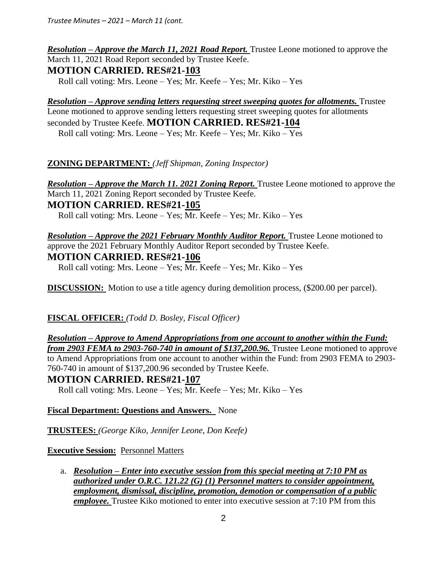*Resolution – Approve the March 11, 2021 Road Report.* Trustee Leone motioned to approve the March 11, 2021 Road Report seconded by Trustee Keefe.

## **MOTION CARRIED. RES#21-103**

Roll call voting: Mrs. Leone – Yes; Mr. Keefe – Yes; Mr. Kiko – Yes

*Resolution – Approve sending letters requesting street sweeping quotes for allotments.* Trustee Leone motioned to approve sending letters requesting street sweeping quotes for allotments seconded by Trustee Keefe. **MOTION CARRIED. RES#21-104** 

Roll call voting: Mrs. Leone – Yes; Mr. Keefe – Yes; Mr. Kiko – Yes

# **ZONING DEPARTMENT:** *(Jeff Shipman, Zoning Inspector)*

*Resolution – Approve the March 11. 2021 Zoning Report.* Trustee Leone motioned to approve the March 11, 2021 Zoning Report seconded by Trustee Keefe.

### **MOTION CARRIED. RES#21-105**

Roll call voting: Mrs. Leone – Yes; Mr. Keefe – Yes; Mr. Kiko – Yes

*Resolution – Approve the 2021 February Monthly Auditor Report.* Trustee Leone motioned to approve the 2021 February Monthly Auditor Report seconded by Trustee Keefe. **MOTION CARRIED. RES#21-106** 

Roll call voting: Mrs. Leone – Yes; Mr. Keefe – Yes; Mr. Kiko – Yes

**DISCUSSION:** Motion to use a title agency during demolition process, (\$200.00 per parcel).

### **FISCAL OFFICER:** *(Todd D. Bosley, Fiscal Officer)*

*Resolution – Approve to Amend Appropriations from one account to another within the Fund: from 2903 FEMA to 2903-760-740 in amount of \$137,200.96*. Trustee Leone motioned to approve to Amend Appropriations from one account to another within the Fund: from 2903 FEMA to 2903- 760-740 in amount of \$137,200.96 seconded by Trustee Keefe.

### **MOTION CARRIED. RES#21-107**

Roll call voting: Mrs. Leone – Yes; Mr. Keefe – Yes; Mr. Kiko – Yes

#### **Fiscal Department: Questions and Answers.** None

**TRUSTEES:** *(George Kiko, Jennifer Leone, Don Keefe)* 

### **Executive Session:** Personnel Matters

a. *Resolution – Enter into executive session from this special meeting at 7:10 PM as authorized under O.R.C. 121.22 (G) (1) Personnel matters to consider appointment, employment, dismissal, discipline, promotion, demotion or compensation of a public employee.* Trustee Kiko motioned to enter into executive session at 7:10 PM from this